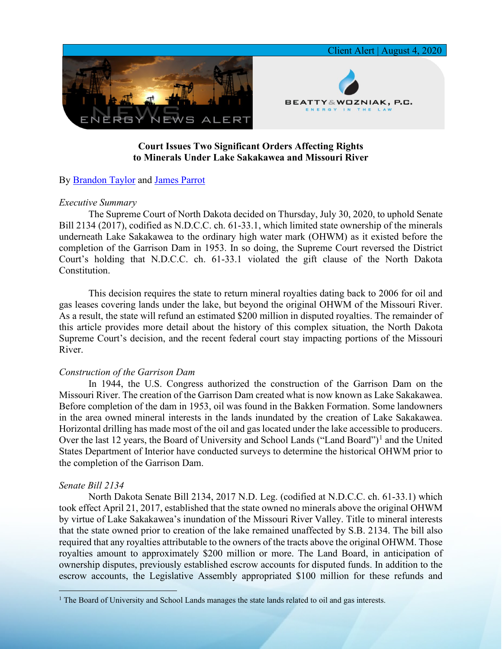

# **Court Issues Two Significant Orders Affecting Rights to Minerals Under Lake Sakakawea and Missouri River**

# By [Brandon Taylor](https://www.bwenergylaw.com/brandon-taylor) and [James Parrot](https://www.bwenergylaw.com/james-parrot)

## *Executive Summary*

The Supreme Court of North Dakota decided on Thursday, July 30, 2020, to uphold Senate Bill 2134 (2017), codified as N.D.C.C. ch. 61-33.1, which limited state ownership of the minerals underneath Lake Sakakawea to the ordinary high water mark (OHWM) as it existed before the completion of the Garrison Dam in 1953. In so doing, the Supreme Court reversed the District Court's holding that N.D.C.C. ch. 61-33.1 violated the gift clause of the North Dakota Constitution.

This decision requires the state to return mineral royalties dating back to 2006 for oil and gas leases covering lands under the lake, but beyond the original OHWM of the Missouri River. As a result, the state will refund an estimated \$200 million in disputed royalties. The remainder of this article provides more detail about the history of this complex situation, the North Dakota Supreme Court's decision, and the recent federal court stay impacting portions of the Missouri River.

## *Construction of the Garrison Dam*

In 1944, the U.S. Congress authorized the construction of the Garrison Dam on the Missouri River. The creation of the Garrison Dam created what is now known as Lake Sakakawea. Before completion of the dam in 1953, oil was found in the Bakken Formation. Some landowners in the area owned mineral interests in the lands inundated by the creation of Lake Sakakawea. Horizontal drilling has made most of the oil and gas located under the lake accessible to producers. Over the last [1](#page-0-0)2 years, the Board of University and School Lands ("Land Board")<sup>1</sup> and the United States Department of Interior have conducted surveys to determine the historical OHWM prior to the completion of the Garrison Dam.

## *Senate Bill 2134*

North Dakota Senate Bill 2134, 2017 N.D. Leg. (codified at N.D.C.C. ch. 61-33.1) which took effect April 21, 2017, established that the state owned no minerals above the original OHWM by virtue of Lake Sakakawea's inundation of the Missouri River Valley. Title to mineral interests that the state owned prior to creation of the lake remained unaffected by S.B. 2134. The bill also required that any royalties attributable to the owners of the tracts above the original OHWM. Those royalties amount to approximately \$200 million or more. The Land Board, in anticipation of ownership disputes, previously established escrow accounts for disputed funds. In addition to the escrow accounts, the Legislative Assembly appropriated \$100 million for these refunds and

<span id="page-0-0"></span> $<sup>1</sup>$  The Board of University and School Lands manages the state lands related to oil and gas interests.</sup>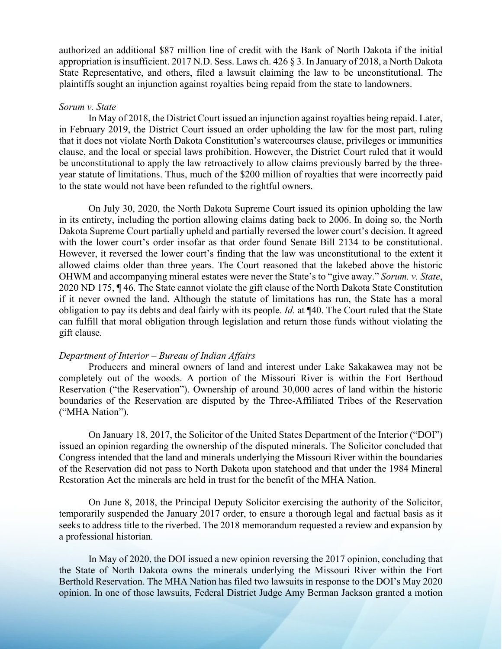authorized an additional \$87 million line of credit with the Bank of North Dakota if the initial appropriation is insufficient. 2017 N.D. Sess. Laws ch. 426 § 3. In January of 2018, a North Dakota State Representative, and others, filed a lawsuit claiming the law to be unconstitutional. The plaintiffs sought an injunction against royalties being repaid from the state to landowners.

#### *Sorum v. State*

In May of 2018, the District Court issued an injunction against royalties being repaid. Later, in February 2019, the District Court issued an order upholding the law for the most part, ruling that it does not violate North Dakota Constitution's watercourses clause, privileges or immunities clause, and the local or special laws prohibition. However, the District Court ruled that it would be unconstitutional to apply the law retroactively to allow claims previously barred by the threeyear statute of limitations. Thus, much of the \$200 million of royalties that were incorrectly paid to the state would not have been refunded to the rightful owners.

On July 30, 2020, the North Dakota Supreme Court issued its opinion upholding the law in its entirety, including the portion allowing claims dating back to 2006. In doing so, the North Dakota Supreme Court partially upheld and partially reversed the lower court's decision. It agreed with the lower court's order insofar as that order found Senate Bill 2134 to be constitutional. However, it reversed the lower court's finding that the law was unconstitutional to the extent it allowed claims older than three years. The Court reasoned that the lakebed above the historic OHWM and accompanying mineral estates were never the State's to "give away." *Sorum. v. State*, 2020 ND 175, ¶ 46. The State cannot violate the gift clause of the North Dakota State Constitution if it never owned the land. Although the statute of limitations has run, the State has a moral obligation to pay its debts and deal fairly with its people. *Id.* at ¶40. The Court ruled that the State can fulfill that moral obligation through legislation and return those funds without violating the gift clause.

#### *Department of Interior – Bureau of Indian Affairs*

Producers and mineral owners of land and interest under Lake Sakakawea may not be completely out of the woods. A portion of the Missouri River is within the Fort Berthoud Reservation ("the Reservation"). Ownership of around 30,000 acres of land within the historic boundaries of the Reservation are disputed by the Three-Affiliated Tribes of the Reservation ("MHA Nation").

On January 18, 2017, the Solicitor of the United States Department of the Interior ("DOI") issued an opinion regarding the ownership of the disputed minerals. The Solicitor concluded that Congress intended that the land and minerals underlying the Missouri River within the boundaries of the Reservation did not pass to North Dakota upon statehood and that under the 1984 Mineral Restoration Act the minerals are held in trust for the benefit of the MHA Nation.

On June 8, 2018, the Principal Deputy Solicitor exercising the authority of the Solicitor, temporarily suspended the January 2017 order, to ensure a thorough legal and factual basis as it seeks to address title to the riverbed. The 2018 memorandum requested a review and expansion by a professional historian.

In May of 2020, the DOI issued a new opinion reversing the 2017 opinion, concluding that the State of North Dakota owns the minerals underlying the Missouri River within the Fort Berthold Reservation. The MHA Nation has filed two lawsuits in response to the DOI's May 2020 opinion. In one of those lawsuits, Federal District Judge Amy Berman Jackson granted a motion